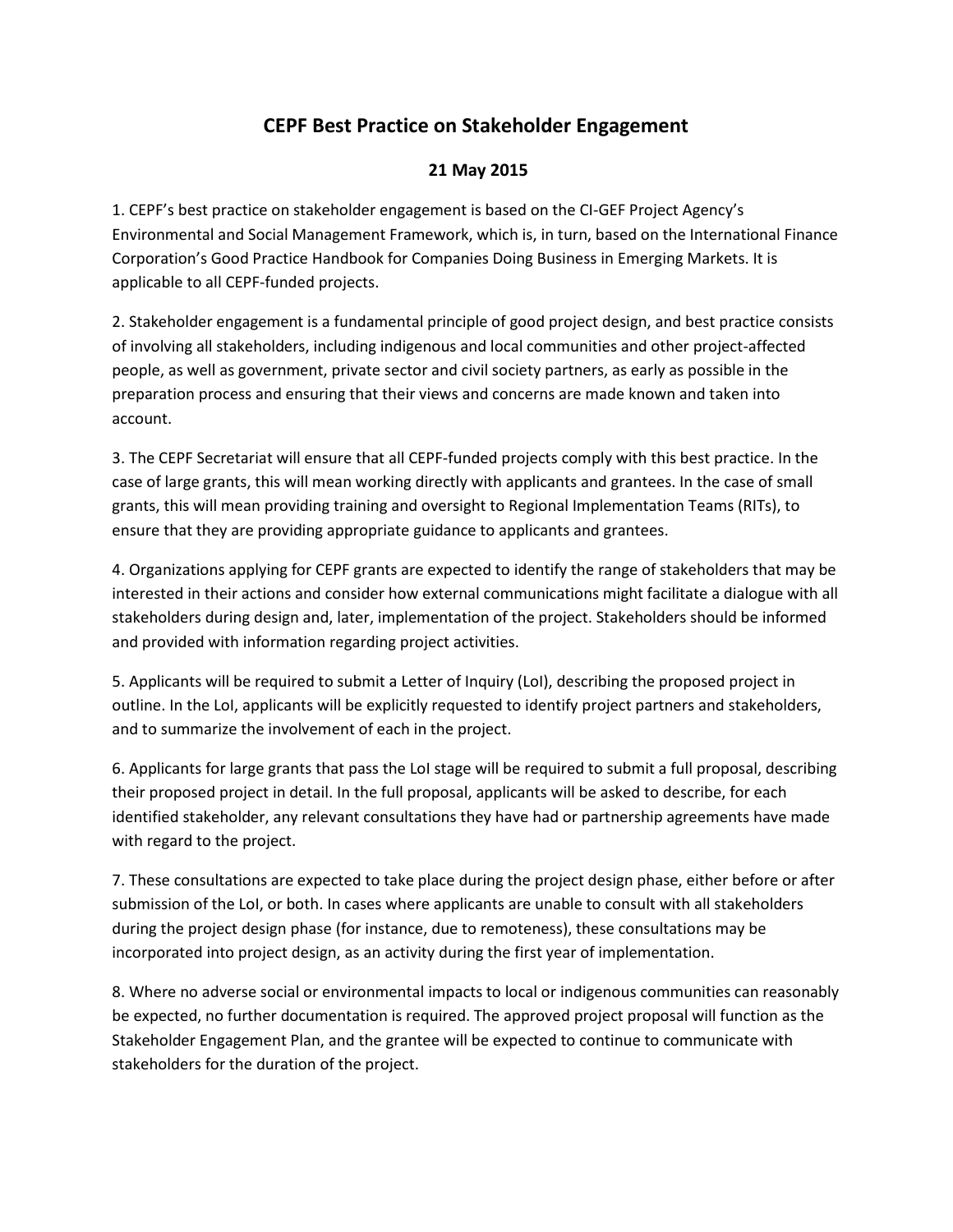## **CEPF Best Practice on Stakeholder Engagement**

## **21 May 2015**

1. CEPF's best practice on stakeholder engagement is based on the CI-GEF Project Agency's Environmental and Social Management Framework, which is, in turn, based on the International Finance Corporation's Good Practice Handbook for Companies Doing Business in Emerging Markets. It is applicable to all CEPF-funded projects.

2. Stakeholder engagement is a fundamental principle of good project design, and best practice consists of involving all stakeholders, including indigenous and local communities and other project-affected people, as well as government, private sector and civil society partners, as early as possible in the preparation process and ensuring that their views and concerns are made known and taken into account.

3. The CEPF Secretariat will ensure that all CEPF-funded projects comply with this best practice. In the case of large grants, this will mean working directly with applicants and grantees. In the case of small grants, this will mean providing training and oversight to Regional Implementation Teams (RITs), to ensure that they are providing appropriate guidance to applicants and grantees.

4. Organizations applying for CEPF grants are expected to identify the range of stakeholders that may be interested in their actions and consider how external communications might facilitate a dialogue with all stakeholders during design and, later, implementation of the project. Stakeholders should be informed and provided with information regarding project activities.

5. Applicants will be required to submit a Letter of Inquiry (LoI), describing the proposed project in outline. In the LoI, applicants will be explicitly requested to identify project partners and stakeholders, and to summarize the involvement of each in the project.

6. Applicants for large grants that pass the LoI stage will be required to submit a full proposal, describing their proposed project in detail. In the full proposal, applicants will be asked to describe, for each identified stakeholder, any relevant consultations they have had or partnership agreements have made with regard to the project.

7. These consultations are expected to take place during the project design phase, either before or after submission of the LoI, or both. In cases where applicants are unable to consult with all stakeholders during the project design phase (for instance, due to remoteness), these consultations may be incorporated into project design, as an activity during the first year of implementation.

8. Where no adverse social or environmental impacts to local or indigenous communities can reasonably be expected, no further documentation is required. The approved project proposal will function as the Stakeholder Engagement Plan, and the grantee will be expected to continue to communicate with stakeholders for the duration of the project.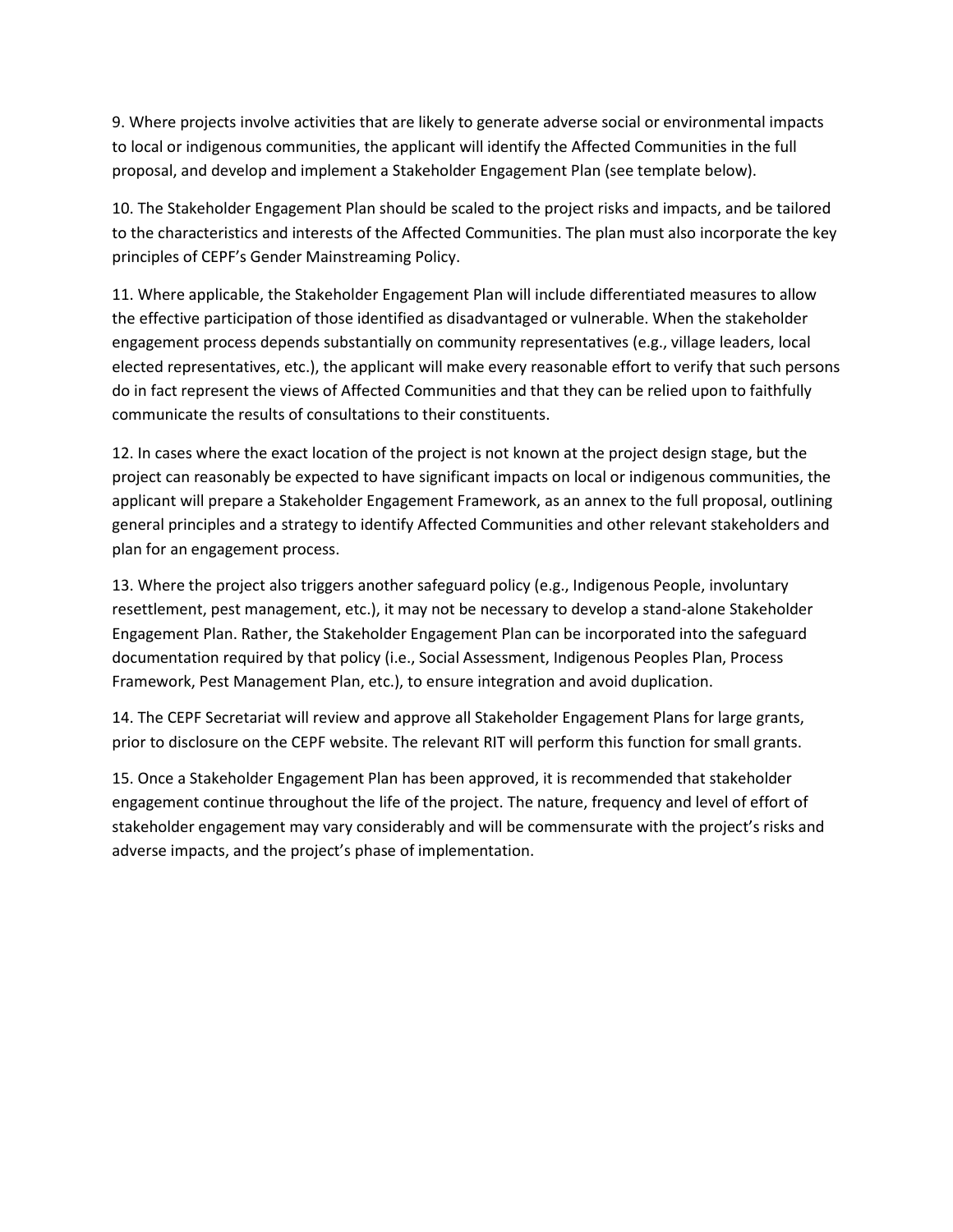9. Where projects involve activities that are likely to generate adverse social or environmental impacts to local or indigenous communities, the applicant will identify the Affected Communities in the full proposal, and develop and implement a Stakeholder Engagement Plan (see template below).

10. The Stakeholder Engagement Plan should be scaled to the project risks and impacts, and be tailored to the characteristics and interests of the Affected Communities. The plan must also incorporate the key principles of CEPF's Gender Mainstreaming Policy.

11. Where applicable, the Stakeholder Engagement Plan will include differentiated measures to allow the effective participation of those identified as disadvantaged or vulnerable. When the stakeholder engagement process depends substantially on community representatives (e.g., village leaders, local elected representatives, etc.), the applicant will make every reasonable effort to verify that such persons do in fact represent the views of Affected Communities and that they can be relied upon to faithfully communicate the results of consultations to their constituents.

12. In cases where the exact location of the project is not known at the project design stage, but the project can reasonably be expected to have significant impacts on local or indigenous communities, the applicant will prepare a Stakeholder Engagement Framework, as an annex to the full proposal, outlining general principles and a strategy to identify Affected Communities and other relevant stakeholders and plan for an engagement process.

13. Where the project also triggers another safeguard policy (e.g., Indigenous People, involuntary resettlement, pest management, etc.), it may not be necessary to develop a stand-alone Stakeholder Engagement Plan. Rather, the Stakeholder Engagement Plan can be incorporated into the safeguard documentation required by that policy (i.e., Social Assessment, Indigenous Peoples Plan, Process Framework, Pest Management Plan, etc.), to ensure integration and avoid duplication.

14. The CEPF Secretariat will review and approve all Stakeholder Engagement Plans for large grants, prior to disclosure on the CEPF website. The relevant RIT will perform this function for small grants.

15. Once a Stakeholder Engagement Plan has been approved, it is recommended that stakeholder engagement continue throughout the life of the project. The nature, frequency and level of effort of stakeholder engagement may vary considerably and will be commensurate with the project's risks and adverse impacts, and the project's phase of implementation.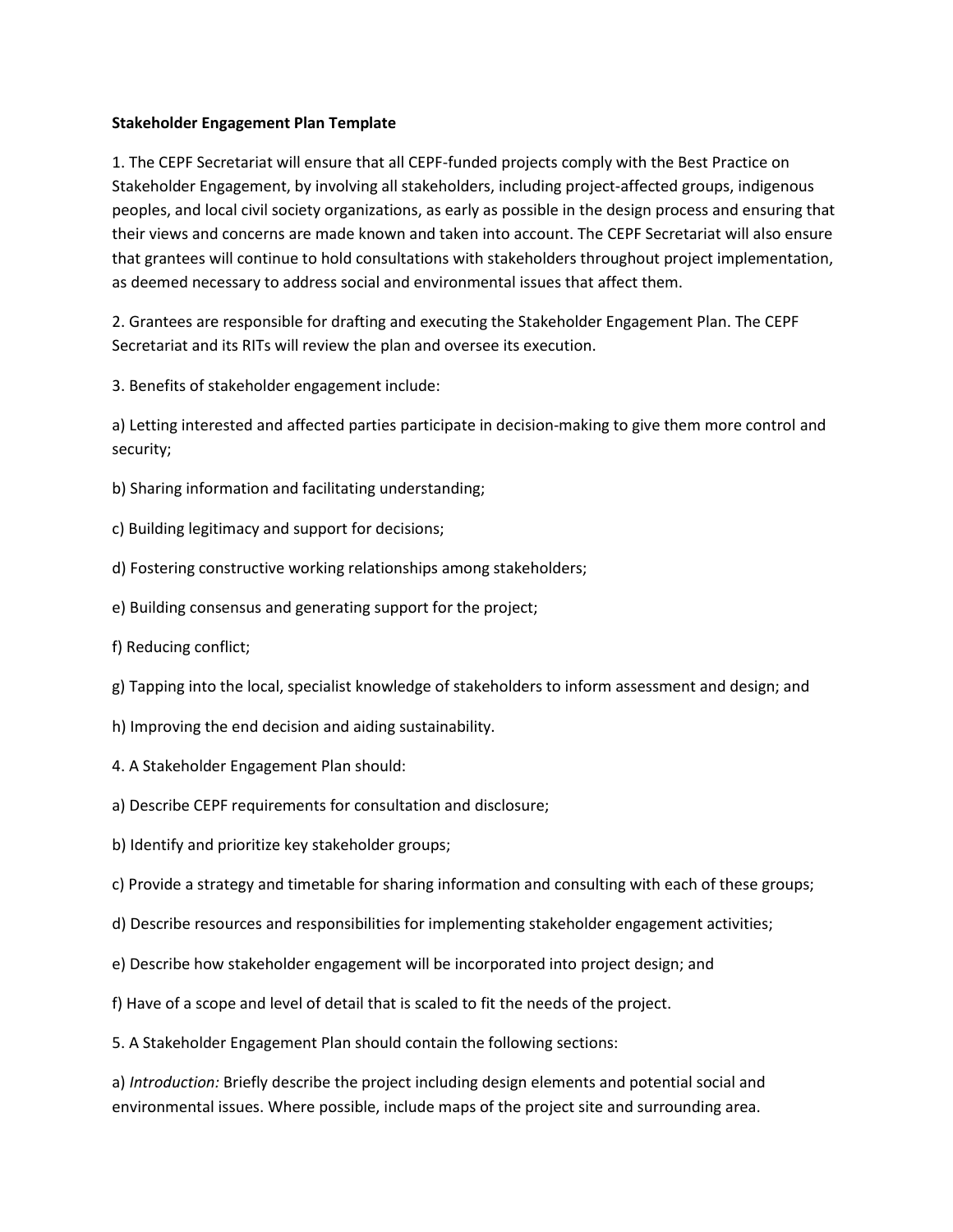## **Stakeholder Engagement Plan Template**

1. The CEPF Secretariat will ensure that all CEPF-funded projects comply with the Best Practice on Stakeholder Engagement, by involving all stakeholders, including project-affected groups, indigenous peoples, and local civil society organizations, as early as possible in the design process and ensuring that their views and concerns are made known and taken into account. The CEPF Secretariat will also ensure that grantees will continue to hold consultations with stakeholders throughout project implementation, as deemed necessary to address social and environmental issues that affect them.

2. Grantees are responsible for drafting and executing the Stakeholder Engagement Plan. The CEPF Secretariat and its RITs will review the plan and oversee its execution.

3. Benefits of stakeholder engagement include:

a) Letting interested and affected parties participate in decision‐making to give them more control and security;

b) Sharing information and facilitating understanding;

- c) Building legitimacy and support for decisions;
- d) Fostering constructive working relationships among stakeholders;
- e) Building consensus and generating support for the project;
- f) Reducing conflict;
- g) Tapping into the local, specialist knowledge of stakeholders to inform assessment and design; and
- h) Improving the end decision and aiding sustainability.
- 4. A Stakeholder Engagement Plan should:
- a) Describe CEPF requirements for consultation and disclosure;
- b) Identify and prioritize key stakeholder groups;
- c) Provide a strategy and timetable for sharing information and consulting with each of these groups;
- d) Describe resources and responsibilities for implementing stakeholder engagement activities;
- e) Describe how stakeholder engagement will be incorporated into project design; and
- f) Have of a scope and level of detail that is scaled to fit the needs of the project.
- 5. A Stakeholder Engagement Plan should contain the following sections:

a) *Introduction:* Briefly describe the project including design elements and potential social and environmental issues. Where possible, include maps of the project site and surrounding area.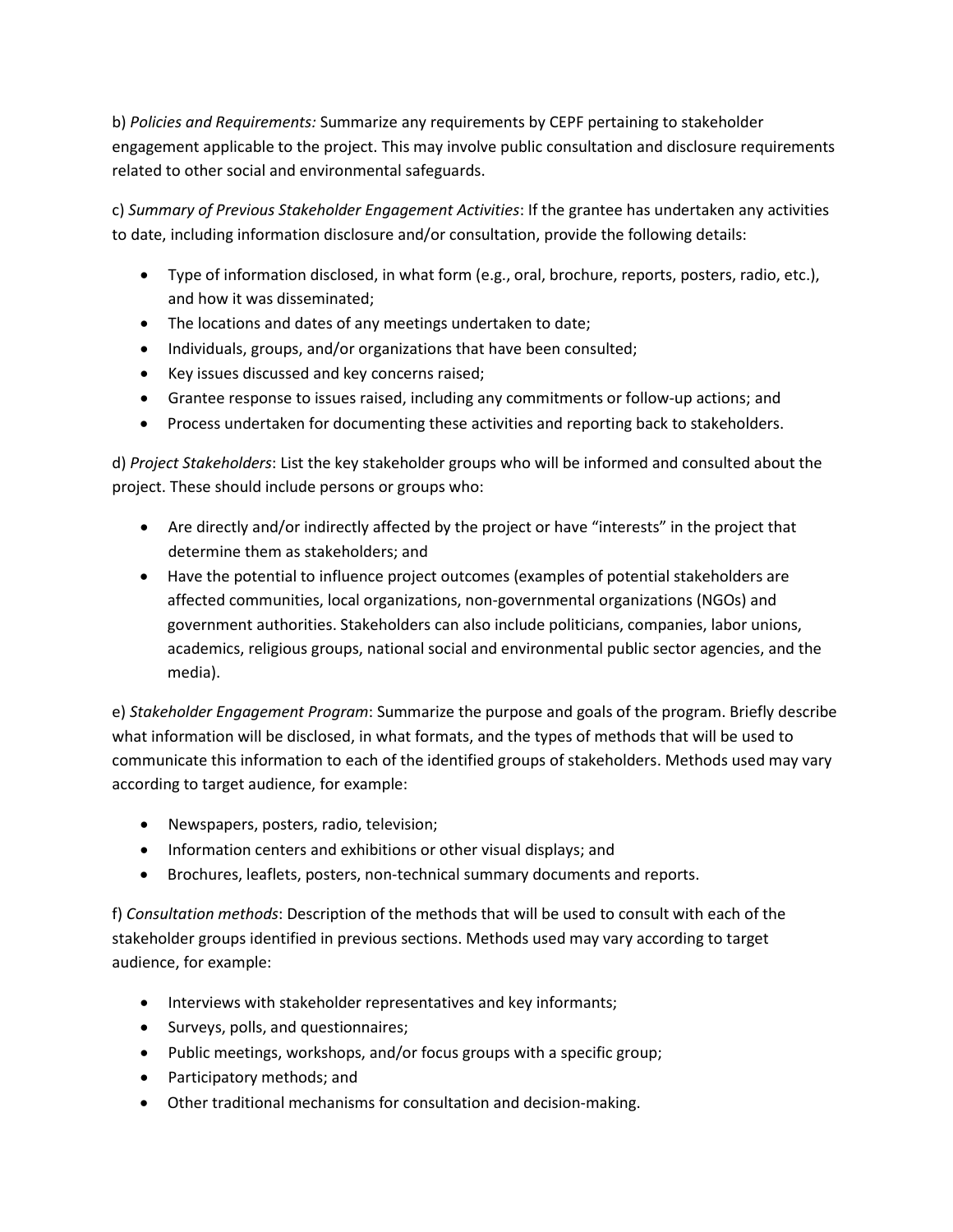b) *Policies and Requirements:* Summarize any requirements by CEPF pertaining to stakeholder engagement applicable to the project. This may involve public consultation and disclosure requirements related to other social and environmental safeguards.

c) *Summary of Previous Stakeholder Engagement Activities*: If the grantee has undertaken any activities to date, including information disclosure and/or consultation, provide the following details:

- Type of information disclosed, in what form (e.g., oral, brochure, reports, posters, radio, etc.), and how it was disseminated;
- The locations and dates of any meetings undertaken to date;
- Individuals, groups, and/or organizations that have been consulted;
- Key issues discussed and key concerns raised;
- Grantee response to issues raised, including any commitments or follow‐up actions; and
- Process undertaken for documenting these activities and reporting back to stakeholders.

d) *Project Stakeholders*: List the key stakeholder groups who will be informed and consulted about the project. These should include persons or groups who:

- Are directly and/or indirectly affected by the project or have "interests" in the project that determine them as stakeholders; and
- Have the potential to influence project outcomes (examples of potential stakeholders are affected communities, local organizations, non-governmental organizations (NGOs) and government authorities. Stakeholders can also include politicians, companies, labor unions, academics, religious groups, national social and environmental public sector agencies, and the media).

e) *Stakeholder Engagement Program*: Summarize the purpose and goals of the program. Briefly describe what information will be disclosed, in what formats, and the types of methods that will be used to communicate this information to each of the identified groups of stakeholders. Methods used may vary according to target audience, for example:

- Newspapers, posters, radio, television;
- Information centers and exhibitions or other visual displays; and
- Brochures, leaflets, posters, non-technical summary documents and reports.

f) *Consultation methods*: Description of the methods that will be used to consult with each of the stakeholder groups identified in previous sections. Methods used may vary according to target audience, for example:

- Interviews with stakeholder representatives and key informants;
- Surveys, polls, and questionnaires;
- Public meetings, workshops, and/or focus groups with a specific group;
- Participatory methods; and
- Other traditional mechanisms for consultation and decision-making.